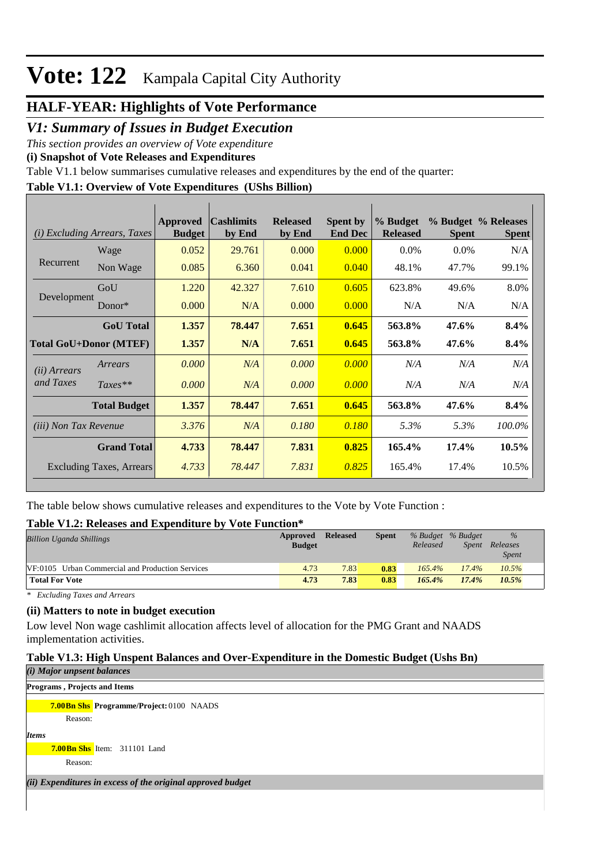# **Vote: 122** Kampala Capital City Authority

# **HALF-YEAR: Highlights of Vote Performance**

*V1: Summary of Issues in Budget Execution*

*This section provides an overview of Vote expenditure* 

**(i) Snapshot of Vote Releases and Expenditures**

Table V1.1 below summarises cumulative releases and expenditures by the end of the quarter:

### **Table V1.1: Overview of Vote Expenditures (UShs Billion)**

| (i)                           | <i>Excluding Arrears, Taxes</i> | Approved<br><b>Budget</b> | <b>Cashlimits</b><br>by End | <b>Released</b><br>by End | <b>Spent by</b><br><b>End Dec</b> | % Budget<br><b>Released</b> | <b>Spent</b> | % Budget % Releases<br><b>Spent</b> |
|-------------------------------|---------------------------------|---------------------------|-----------------------------|---------------------------|-----------------------------------|-----------------------------|--------------|-------------------------------------|
|                               | Wage                            | 0.052                     | 29.761                      | 0.000                     | 0.000                             | $0.0\%$                     | $0.0\%$      | N/A                                 |
| Recurrent                     | Non Wage                        | 0.085                     | 6.360                       | 0.041                     | 0.040                             | 48.1%                       | 47.7%        | 99.1%                               |
|                               | GoU                             | 1.220                     | 42.327                      | 7.610                     | 0.605                             | 623.8%                      | 49.6%        | 8.0%                                |
| Development                   | Donor*                          | 0.000                     | N/A                         | 0.000                     | 0.000                             | N/A                         | N/A          | N/A                                 |
|                               | <b>GoU</b> Total                | 1.357                     | 78.447                      | 7.651                     | 0.645                             | 563.8%                      | 47.6%        | 8.4%                                |
| <b>Total GoU+Donor (MTEF)</b> |                                 | 1.357                     | N/A                         | 7.651                     | 0.645                             | 563.8%                      | 47.6%        | 8.4%                                |
| ( <i>ii</i> ) Arrears         | Arrears                         | 0.000                     | N/A                         | 0.000                     | 0.000                             | N/A                         | N/A          | N/A                                 |
| and Taxes                     | $Taxes**$                       | 0.000                     | N/A                         | 0.000                     | 0.000                             | N/A                         | N/A          | N/A                                 |
|                               | <b>Total Budget</b>             | 1.357                     | 78.447                      | 7.651                     | 0.645                             | 563.8%                      | 47.6%        | 8.4%                                |
| <i>(iii)</i> Non Tax Revenue  |                                 | 3.376                     | N/A                         | 0.180                     | 0.180                             | 5.3%                        | 5.3%         | 100.0%                              |
|                               | <b>Grand Total</b>              | 4.733                     | 78.447                      | 7.831                     | 0.825                             | 165.4%                      | 17.4%        | $10.5\%$                            |
|                               | <b>Excluding Taxes, Arrears</b> | 4.733                     | 78.447                      | 7.831                     | 0.825                             | 165.4%                      | 17.4%        | 10.5%                               |

The table below shows cumulative releases and expenditures to the Vote by Vote Function :

#### **Table V1.2: Releases and Expenditure by Vote Function\***

| <b>Billion Uganda Shillings</b>                         | Approved<br><b>Budget</b> | <b>Released</b> | <b>Spent</b> | % Budget % Budget<br>Released | <i>Spent</i> | $\frac{0}{0}$<br>Releases<br><b>Spent</b> |
|---------------------------------------------------------|---------------------------|-----------------|--------------|-------------------------------|--------------|-------------------------------------------|
| <b>VF:0105</b> Urban Commercial and Production Services | 4.73                      | 7.83            | 0.83         | $165.4\%$                     | 17.4%        | 10.5%                                     |
| <b>Total For Vote</b>                                   | 4.73                      | 7.83            | 0.83         | 165.4%                        | 17.4%        | 10.5%                                     |

*\* Excluding Taxes and Arrears*

#### **(ii) Matters to note in budget execution**

Low level Non wage cashlimit allocation affects level of allocation for the PMG Grant and NAADS implementation activities.

#### **Table V1.3: High Unspent Balances and Over-Expenditure in the Domestic Budget (Ushs Bn)**

|              | (i) Major unpsent balances   |                                                             |
|--------------|------------------------------|-------------------------------------------------------------|
|              | Programs, Projects and Items |                                                             |
|              |                              | <b>7.00Bn Shs Programme/Project: 0100 NAADS</b>             |
|              | Reason:                      |                                                             |
| <b>Items</b> |                              |                                                             |
|              |                              | <b>7.00Bn Shs</b> Item: 311101 Land                         |
|              | Reason:                      |                                                             |
|              |                              | (ii) Expenditures in excess of the original approved budget |
|              |                              |                                                             |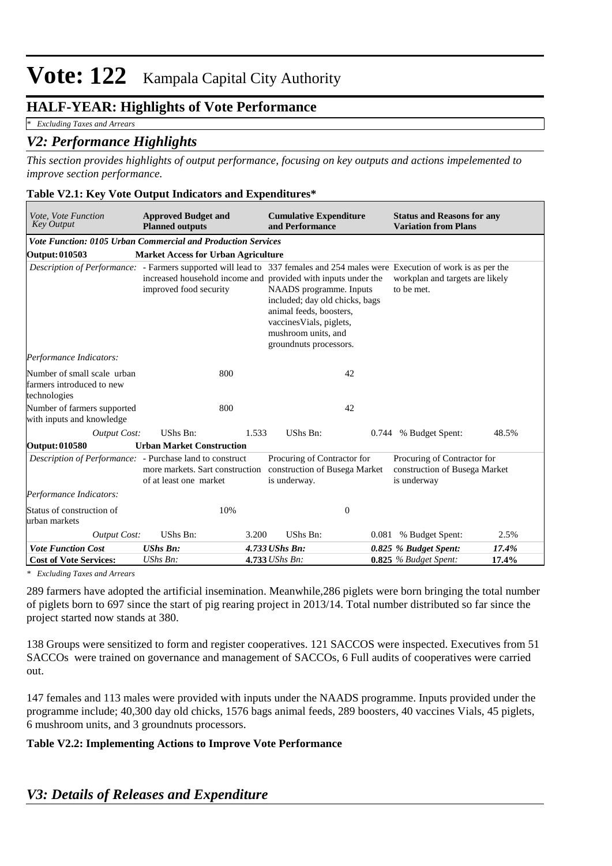# Vote: 122 Kampala Capital City Authority

## **HALF-YEAR: Highlights of Vote Performance**

*\* Excluding Taxes and Arrears*

## *V2: Performance Highlights*

*This section provides highlights of output performance, focusing on key outputs and actions impelemented to improve section performance.*

#### **Table V2.1: Key Vote Output Indicators and Expenditures\***

| Vote, Vote Function<br><b>Key Output</b>                                                                                    | <b>Approved Budget and</b><br><b>Planned outputs</b>                                    |       | <b>Cumulative Expenditure</b><br>and Performance                                                                                                                  | <b>Status and Reasons for any</b><br><b>Variation from Plans</b>            |       |
|-----------------------------------------------------------------------------------------------------------------------------|-----------------------------------------------------------------------------------------|-------|-------------------------------------------------------------------------------------------------------------------------------------------------------------------|-----------------------------------------------------------------------------|-------|
| <b>Vote Function: 0105 Urban Commercial and Production Services</b>                                                         |                                                                                         |       |                                                                                                                                                                   |                                                                             |       |
| Output: 010503                                                                                                              | <b>Market Access for Urban Agriculture</b>                                              |       |                                                                                                                                                                   |                                                                             |       |
| Description of Performance: - Farmers supported will lead to 337 females and 254 males were Execution of work is as per the | increased household income and provided with inputs under the<br>improved food security |       | NAADS programme. Inputs<br>included; day old chicks, bags<br>animal feeds, boosters,<br>vaccines Vials, piglets,<br>mushroom units, and<br>groundnuts processors. | workplan and targets are likely<br>to be met.                               |       |
| Performance Indicators:                                                                                                     |                                                                                         |       |                                                                                                                                                                   |                                                                             |       |
| Number of small scale urban<br>farmers introduced to new<br>technologies                                                    | 800                                                                                     |       | 42                                                                                                                                                                |                                                                             |       |
| Number of farmers supported<br>with inputs and knowledge                                                                    | 800                                                                                     |       | 42                                                                                                                                                                |                                                                             |       |
| Output Cost:                                                                                                                | UShs Bn:                                                                                | 1.533 | UShs Bn:                                                                                                                                                          | 0.744 % Budget Spent:                                                       | 48.5% |
| Output: 010580                                                                                                              | <b>Urban Market Construction</b>                                                        |       |                                                                                                                                                                   |                                                                             |       |
| Description of Performance: - Purchase land to construct                                                                    | more markets. Sart construction<br>of at least one market                               |       | Procuring of Contractor for<br>construction of Busega Market<br>is underway.                                                                                      | Procuring of Contractor for<br>construction of Busega Market<br>is underway |       |
| Performance Indicators:                                                                                                     |                                                                                         |       |                                                                                                                                                                   |                                                                             |       |
| Status of construction of<br>urban markets                                                                                  | 10%                                                                                     |       | $\mathbf{0}$                                                                                                                                                      |                                                                             |       |
| <b>Output Cost:</b>                                                                                                         | UShs Bn:                                                                                | 3.200 | UShs Bn:                                                                                                                                                          | 0.081 % Budget Spent:                                                       | 2.5%  |
| <b>Vote Function Cost</b>                                                                                                   | <b>UShs Bn:</b>                                                                         |       | 4.733 UShs Bn:                                                                                                                                                    | 0.825 % Budget Spent:                                                       | 17.4% |
| <b>Cost of Vote Services:</b>                                                                                               | UShs Bn:                                                                                |       | 4.733 UShs Bn:                                                                                                                                                    | 0.825 % Budget Spent:                                                       | 17.4% |

*\* Excluding Taxes and Arrears*

289 farmers have adopted the artificial insemination. Meanwhile,286 piglets were born bringing the total number of piglets born to 697 since the start of pig rearing project in 2013/14. Total number distributed so far since the project started now stands at 380.

138 Groups were sensitized to form and register cooperatives. 121 SACCOS were inspected. Executives from 51 SACCOs were trained on governance and management of SACCOs, 6 Full audits of cooperatives were carried out.

147 females and 113 males were provided with inputs under the NAADS programme. Inputs provided under the programme include; 40,300 day old chicks, 1576 bags animal feeds, 289 boosters, 40 vaccines Vials, 45 piglets, 6 mushroom units, and 3 groundnuts processors.

#### **Table V2.2: Implementing Actions to Improve Vote Performance**

## *V3: Details of Releases and Expenditure*